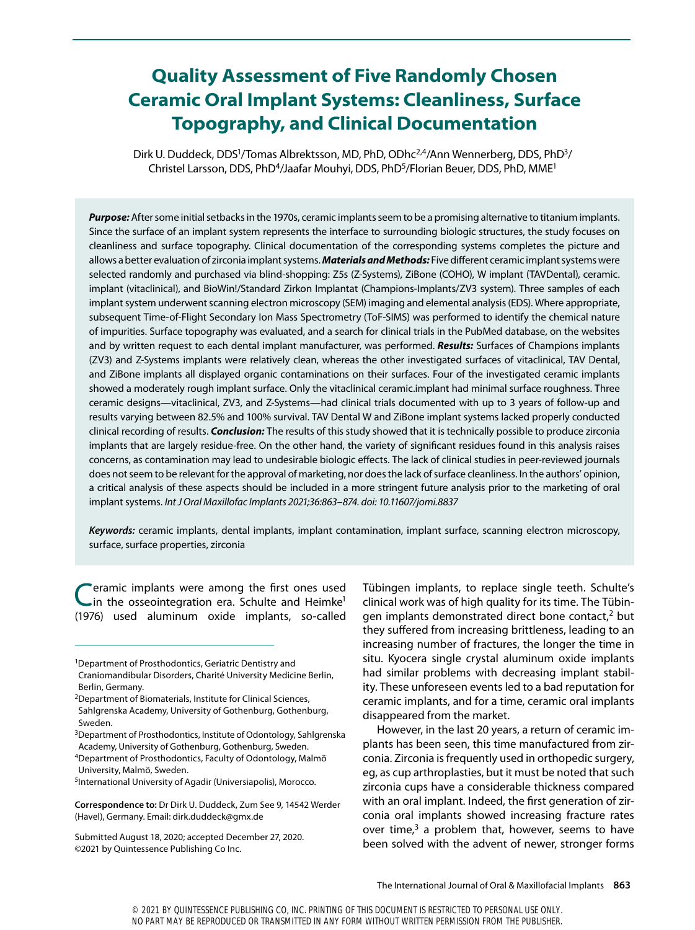# **Quality Assessment of Five Randomly Chosen Ceramic Oral Implant Systems: Cleanliness, Surface Topography, and Clinical Documentation**

Dirk U. Duddeck, DDS<sup>1</sup>/Tomas Albrektsson, MD, PhD, ODhc<sup>2,4</sup>/Ann Wennerberg, DDS, PhD<sup>3</sup>/ Christel Larsson, DDS, PhD<sup>4</sup>/Jaafar Mouhyi, DDS, PhD<sup>5</sup>/Florian Beuer, DDS, PhD, MME<sup>1</sup>

*Purpose:* After some initial setbacks in the 1970s, ceramic implants seem to be a promising alternative to titanium implants. Since the surface of an implant system represents the interface to surrounding biologic structures, the study focuses on cleanliness and surface topography. Clinical documentation of the corresponding systems completes the picture and allows a better evaluation of zirconia implant systems. *Materials and Methods:* Five different ceramic implant systems were selected randomly and purchased via blind-shopping: Z5s (Z-Systems), ZiBone (COHO), W implant (TAVDental), ceramic. implant (vitaclinical), and BioWin!/Standard Zirkon Implantat (Champions-Implants/ZV3 system). Three samples of each implant system underwent scanning electron microscopy (SEM) imaging and elemental analysis (EDS). Where appropriate, subsequent Time-of-Flight Secondary Ion Mass Spectrometry (ToF-SIMS) was performed to identify the chemical nature of impurities. Surface topography was evaluated, and a search for clinical trials in the PubMed database, on the websites and by written request to each dental implant manufacturer, was performed. *Results:* Surfaces of Champions implants (ZV3) and Z-Systems implants were relatively clean, whereas the other investigated surfaces of vitaclinical, TAV Dental, and ZiBone implants all displayed organic contaminations on their surfaces. Four of the investigated ceramic implants showed a moderately rough implant surface. Only the vitaclinical ceramic.implant had minimal surface roughness. Three ceramic designs—vitaclinical, ZV3, and Z-Systems—had clinical trials documented with up to 3 years of follow-up and results varying between 82.5% and 100% survival. TAV Dental W and ZiBone implant systems lacked properly conducted clinical recording of results. *Conclusion:* The results of this study showed that it is technically possible to produce zirconia implants that are largely residue-free. On the other hand, the variety of significant residues found in this analysis raises concerns, as contamination may lead to undesirable biologic effects. The lack of clinical studies in peer-reviewed journals does not seem to be relevant for the approval of marketing, nor does the lack of surface cleanliness. In the authors' opinion, a critical analysis of these aspects should be included in a more stringent future analysis prior to the marketing of oral implant systems. *Int J Oral Maxillofac Implants 2021;36:863–874. doi: 10.11607/jomi.8837*

*Keywords:* ceramic implants, dental implants, implant contamination, implant surface, scanning electron microscopy, surface, surface properties, zirconia

eramic implants were among the first ones used in the osseointegration era. Schulte and Heimke<sup>1</sup> (1976) used aluminum oxide implants, so-called

Tübingen implants, to replace single teeth. Schulte's clinical work was of high quality for its time. The Tübingen implants demonstrated direct bone contact, $2$  but they suffered from increasing brittleness, leading to an increasing number of fractures, the longer the time in situ. Kyocera single crystal aluminum oxide implants had similar problems with decreasing implant stability. These unforeseen events led to a bad reputation for ceramic implants, and for a time, ceramic oral implants disappeared from the market.

However, in the last 20 years, a return of ceramic implants has been seen, this time manufactured from zirconia. Zirconia is frequently used in orthopedic surgery, eg, as cup arthroplasties, but it must be noted that such zirconia cups have a considerable thickness compared with an oral implant. Indeed, the first generation of zirconia oral implants showed increasing fracture rates over time, $3$  a problem that, however, seems to have been solved with the advent of newer, stronger forms

<sup>&</sup>lt;sup>1</sup>Department of Prosthodontics, Geriatric Dentistry and

Craniomandibular Disorders, Charité University Medicine Berlin, Berlin, Germany.

<sup>2</sup>Department of Biomaterials, Institute for Clinical Sciences, Sahlgrenska Academy, University of Gothenburg, Gothenburg, Sweden.

<sup>3</sup>Department of Prosthodontics, Institute of Odontology, Sahlgrenska Academy, University of Gothenburg, Gothenburg, Sweden.

<sup>4</sup>Department of Prosthodontics, Faculty of Odontology, Malmö University, Malmö, Sweden.

<sup>&</sup>lt;sup>5</sup>International University of Agadir (Universiapolis), Morocco.

**Correspondence to:** Dr Dirk U. Duddeck, Zum See 9, 14542 Werder (Havel), Germany. Email: dirk.duddeck@gmx.de

Submitted August 18, 2020; accepted December 27, 2020. ©2021 by Quintessence Publishing Co Inc.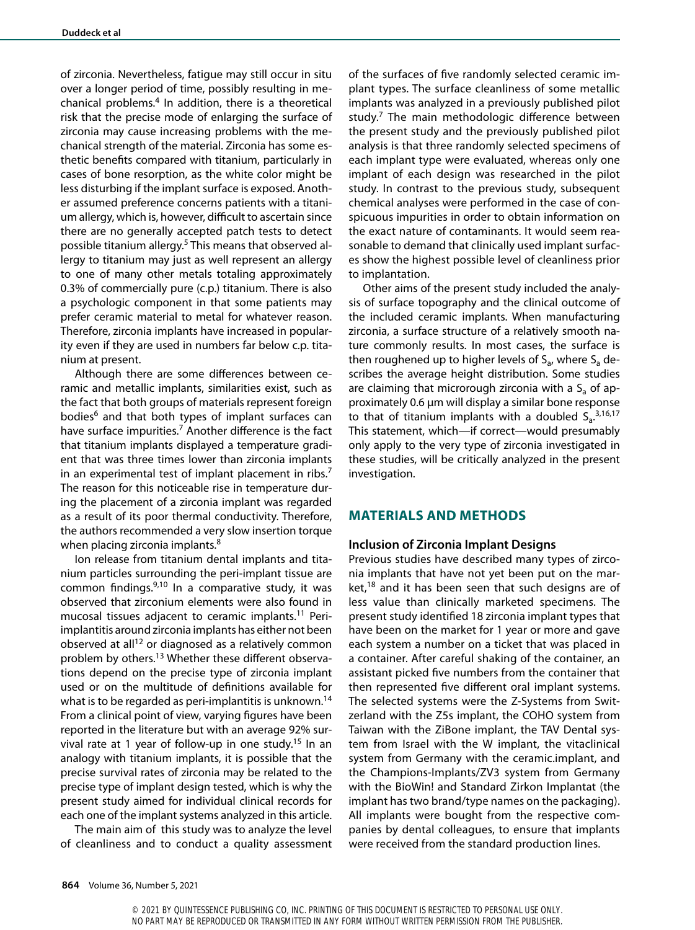of zirconia. Nevertheless, fatigue may still occur in situ over a longer period of time, possibly resulting in mechanical problems.4 In addition, there is a theoretical risk that the precise mode of enlarging the surface of zirconia may cause increasing problems with the mechanical strength of the material. Zirconia has some esthetic benefits compared with titanium, particularly in cases of bone resorption, as the white color might be less disturbing if the implant surface is exposed. Another assumed preference concerns patients with a titanium allergy, which is, however, difficult to ascertain since there are no generally accepted patch tests to detect possible titanium allergy.5 This means that observed allergy to titanium may just as well represent an allergy to one of many other metals totaling approximately 0.3% of commercially pure (c.p.) titanium. There is also a psychologic component in that some patients may prefer ceramic material to metal for whatever reason. Therefore, zirconia implants have increased in popularity even if they are used in numbers far below c.p. titanium at present.

Although there are some differences between ceramic and metallic implants, similarities exist, such as the fact that both groups of materials represent foreign bodies<sup>6</sup> and that both types of implant surfaces can have surface impurities.<sup>7</sup> Another difference is the fact that titanium implants displayed a temperature gradient that was three times lower than zirconia implants in an experimental test of implant placement in ribs.<sup>7</sup> The reason for this noticeable rise in temperature during the placement of a zirconia implant was regarded as a result of its poor thermal conductivity. Therefore, the authors recommended a very slow insertion torque when placing zirconia implants.<sup>8</sup>

Ion release from titanium dental implants and titanium particles surrounding the peri-implant tissue are common findings.9,10 In a comparative study, it was observed that zirconium elements were also found in mucosal tissues adjacent to ceramic implants.<sup>11</sup> Periimplantitis around zirconia implants has either not been observed at all<sup>12</sup> or diagnosed as a relatively common problem by others.13 Whether these different observations depend on the precise type of zirconia implant used or on the multitude of definitions available for what is to be regarded as peri-implantitis is unknown.<sup>14</sup> From a clinical point of view, varying figures have been reported in the literature but with an average 92% survival rate at 1 year of follow-up in one study.<sup>15</sup> In an analogy with titanium implants, it is possible that the precise survival rates of zirconia may be related to the precise type of implant design tested, which is why the present study aimed for individual clinical records for each one of the implant systems analyzed in this article.

The main aim of this study was to analyze the level of cleanliness and to conduct a quality assessment of the surfaces of five randomly selected ceramic implant types. The surface cleanliness of some metallic implants was analyzed in a previously published pilot study.<sup>7</sup> The main methodologic difference between the present study and the previously published pilot analysis is that three randomly selected specimens of each implant type were evaluated, whereas only one implant of each design was researched in the pilot study. In contrast to the previous study, subsequent chemical analyses were performed in the case of conspicuous impurities in order to obtain information on the exact nature of contaminants. It would seem reasonable to demand that clinically used implant surfaces show the highest possible level of cleanliness prior to implantation.

Other aims of the present study included the analysis of surface topography and the clinical outcome of the included ceramic implants. When manufacturing zirconia, a surface structure of a relatively smooth nature commonly results. In most cases, the surface is then roughened up to higher levels of  $S_{a}$ , where  $S_{a}$  describes the average height distribution. Some studies are claiming that microrough zirconia with a  $S<sub>a</sub>$  of approximately 0.6 µm will display a similar bone response to that of titanium implants with a doubled  $S_a^{3,16,17}$ This statement, which—if correct—would presumably only apply to the very type of zirconia investigated in these studies, will be critically analyzed in the present investigation.

#### **MATERIALS AND METHODS**

#### **Inclusion of Zirconia Implant Designs**

Previous studies have described many types of zirconia implants that have not yet been put on the mar $ket$ <sup>18</sup> and it has been seen that such designs are of less value than clinically marketed specimens. The present study identified 18 zirconia implant types that have been on the market for 1 year or more and gave each system a number on a ticket that was placed in a container. After careful shaking of the container, an assistant picked five numbers from the container that then represented five different oral implant systems. The selected systems were the Z-Systems from Switzerland with the Z5s implant, the COHO system from Taiwan with the ZiBone implant, the TAV Dental system from Israel with the W implant, the vitaclinical system from Germany with the ceramic.implant, and the Champions-Implants/ZV3 system from Germany with the BioWin! and Standard Zirkon Implantat (the implant has two brand/type names on the packaging). All implants were bought from the respective companies by dental colleagues, to ensure that implants were received from the standard production lines.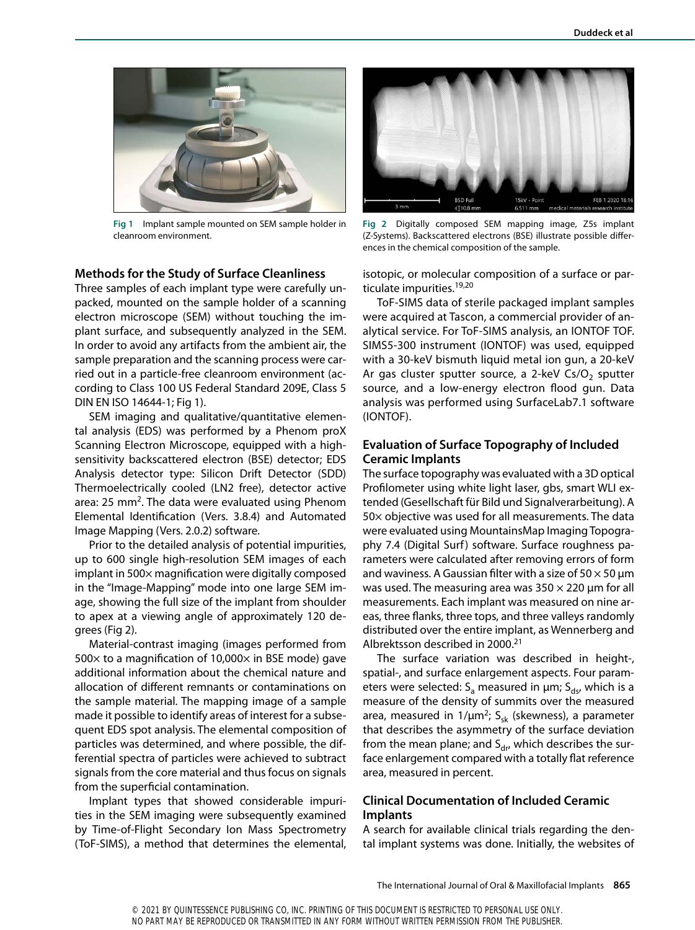

**Fig 1** Implant sample mounted on SEM sample holder in cleanroom environment.

### **Methods for the Study of Surface Cleanliness**

Three samples of each implant type were carefully unpacked, mounted on the sample holder of a scanning electron microscope (SEM) without touching the implant surface, and subsequently analyzed in the SEM. In order to avoid any artifacts from the ambient air, the sample preparation and the scanning process were carried out in a particle-free cleanroom environment (according to Class 100 US Federal Standard 209E, Class 5 DIN EN ISO 14644-1; Fig 1).

SEM imaging and qualitative/quantitative elemental analysis (EDS) was performed by a Phenom proX Scanning Electron Microscope, equipped with a highsensitivity backscattered electron (BSE) detector; EDS Analysis detector type: Silicon Drift Detector (SDD) Thermoelectrically cooled (LN2 free), detector active area: 25 mm<sup>2</sup>. The data were evaluated using Phenom Elemental Identification (Vers. 3.8.4) and Automated Image Mapping (Vers. 2.0.2) software.

Prior to the detailed analysis of potential impurities, up to 600 single high-resolution SEM images of each implant in 500× magnification were digitally composed in the "Image-Mapping" mode into one large SEM image, showing the full size of the implant from shoulder to apex at a viewing angle of approximately 120 degrees (Fig 2).

Material-contrast imaging (images performed from 500 $\times$  to a magnification of 10,000 $\times$  in BSE mode) gave additional information about the chemical nature and allocation of different remnants or contaminations on the sample material. The mapping image of a sample made it possible to identify areas of interest for a subsequent EDS spot analysis. The elemental composition of particles was determined, and where possible, the differential spectra of particles were achieved to subtract signals from the core material and thus focus on signals from the superficial contamination.

Implant types that showed considerable impurities in the SEM imaging were subsequently examined by Time-of-Flight Secondary Ion Mass Spectrometry (ToF-SIMS), a method that determines the elemental,



**Fig 2** Digitally composed SEM mapping image, Z5s implant (Z-Systems). Backscattered electrons (BSE) illustrate possible differences in the chemical composition of the sample.

isotopic, or molecular composition of a surface or particulate impurities.<sup>19,20</sup>

ToF-SIMS data of sterile packaged implant samples were acquired at Tascon, a commercial provider of analytical service. For ToF-SIMS analysis, an IONTOF TOF. SIMS5-300 instrument (IONTOF) was used, equipped with a 30-keV bismuth liquid metal ion gun, a 20-keV Ar gas cluster sputter source, a 2-keV Cs/O<sub>2</sub> sputter source, and a low-energy electron flood gun. Data analysis was performed using SurfaceLab7.1 software (IONTOF).

## **Evaluation of Surface Topography of Included Ceramic Implants**

The surface topography was evaluated with a 3D optical Profilometer using white light laser, gbs, smart WLI extended (Gesellschaft für Bild und Signalverarbeitung). A 50× objective was used for all measurements. The data were evaluated using MountainsMap Imaging Topography 7.4 (Digital Surf) software. Surface roughness parameters were calculated after removing errors of form and waviness. A Gaussian filter with a size of  $50 \times 50$  µm was used. The measuring area was  $350 \times 220$  µm for all measurements. Each implant was measured on nine areas, three flanks, three tops, and three valleys randomly distributed over the entire implant, as Wennerberg and Albrektsson described in 2000.21

The surface variation was described in height-, spatial-, and surface enlargement aspects. Four parameters were selected:  $S_a$  measured in  $\mu$ m;  $S_{ds}$ , which is a measure of the density of summits over the measured area, measured in  $1/\mu m^2$ ; S<sub>sk</sub> (skewness), a parameter that describes the asymmetry of the surface deviation from the mean plane; and  $S_{\text{dr}}$ , which describes the surface enlargement compared with a totally flat reference area, measured in percent.

# **Clinical Documentation of Included Ceramic Implants**

A search for available clinical trials regarding the dental implant systems was done. Initially, the websites of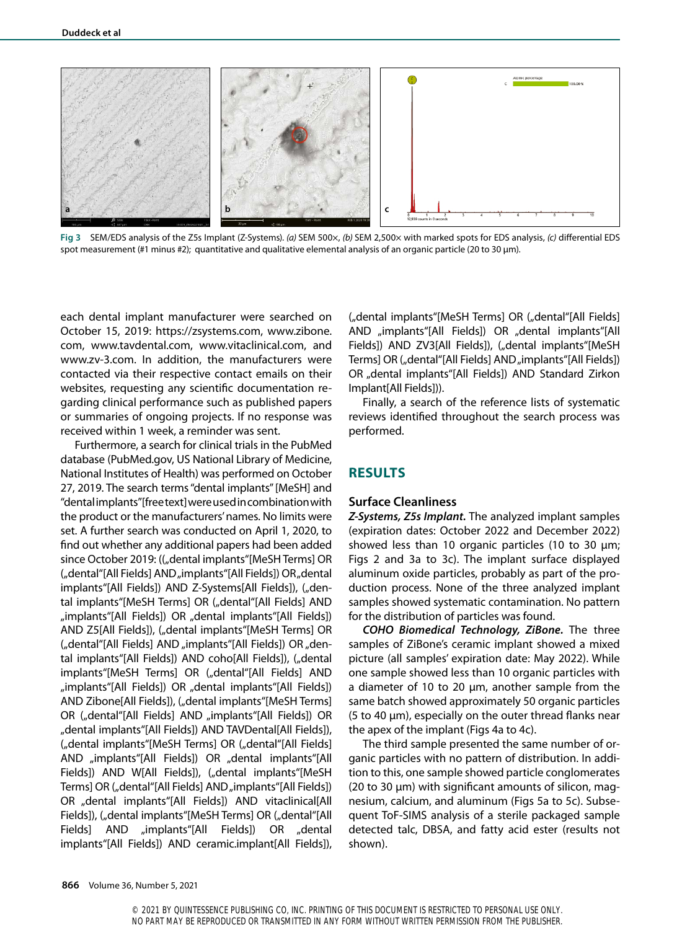

**Fig 3** SEM/EDS analysis of the Z5s Implant (Z-Systems). *(a)* SEM 500×, *(b)* SEM 2,500× with marked spots for EDS analysis, *(c)* differential EDS spot measurement (#1 minus #2); quantitative and qualitative elemental analysis of an organic particle (20 to 30 µm).

each dental implant manufacturer were searched on October 15, 2019: https://zsystems.com, www.zibone. com, www.tavdental.com, www.vitaclinical.com, and www.zv-3.com. In addition, the manufacturers were contacted via their respective contact emails on their websites, requesting any scientific documentation regarding clinical performance such as published papers or summaries of ongoing projects. If no response was received within 1 week, a reminder was sent.

Furthermore, a search for clinical trials in the PubMed database (PubMed.gov, US National Library of Medicine, National Institutes of Health) was performed on October 27, 2019. The search terms "dental implants" [MeSH] and "dental implants" [free text] were used in combination with the product or the manufacturers' names. No limits were set. A further search was conducted on April 1, 2020, to find out whether any additional papers had been added since October 2019: (("dental implants"[MeSH Terms] OR ("dental"[All Fields] AND "implants"[All Fields]) OR "dental implants"[All Fields]) AND Z-Systems[All Fields]), ("dental implants"[MeSH Terms] OR ("dental"[All Fields] AND "implants"[All Fields]) OR "dental implants"[All Fields]) AND Z5[All Fields]), ("dental implants"[MeSH Terms] OR ("dental"[All Fields] AND "implants"[All Fields]) OR "dental implants"[All Fields]) AND coho[All Fields]), ("dental implants"[MeSH Terms] OR ("dental"[All Fields] AND "implants"[All Fields]) OR "dental implants"[All Fields]) AND Zibone[All Fields]), ("dental implants"[MeSH Terms] OR ("dental"[All Fields] AND "implants"[All Fields]) OR "dental implants"[All Fields]) AND TAVDental[All Fields]), ("dental implants"[MeSH Terms] OR ("dental"[All Fields] AND "implants"[All Fields]) OR "dental implants"[All Fields]) AND W[All Fields]), ("dental implants"[MeSH Terms] OR ("dental"[All Fields] AND "implants"[All Fields]) OR "dental implants"[All Fields]) AND vitaclinical[All Fields]), ("dental implants"[MeSH Terms] OR ("dental"[All Fields] AND "implants"[All Fields]) OR "dental implants"[All Fields]) AND ceramic.implant[All Fields]),

("dental implants"[MeSH Terms] OR ("dental"[All Fields] AND "implants"[All Fields]) OR "dental implants"[All Fields]) AND ZV3[All Fields]), ("dental implants"[MeSH Terms] OR ("dental"[All Fields] AND "implants"[All Fields]) OR "dental implants"[All Fields]) AND Standard Zirkon Implant[All Fields])).

Finally, a search of the reference lists of systematic reviews identified throughout the search process was performed.

# **RESULTS**

#### **Surface Cleanliness**

*Z-Systems, Z5s Implant.* The analyzed implant samples (expiration dates: October 2022 and December 2022) showed less than 10 organic particles (10 to 30 µm; Figs 2 and 3a to 3c). The implant surface displayed aluminum oxide particles, probably as part of the production process. None of the three analyzed implant samples showed systematic contamination. No pattern for the distribution of particles was found.

*COHO Biomedical Technology, ZiBone.* The three samples of ZiBone's ceramic implant showed a mixed picture (all samples' expiration date: May 2022). While one sample showed less than 10 organic particles with a diameter of 10 to 20 µm, another sample from the same batch showed approximately 50 organic particles (5 to 40 µm), especially on the outer thread flanks near the apex of the implant (Figs 4a to 4c).

The third sample presented the same number of organic particles with no pattern of distribution. In addition to this, one sample showed particle conglomerates (20 to 30 µm) with significant amounts of silicon, magnesium, calcium, and aluminum (Figs 5a to 5c). Subsequent ToF-SIMS analysis of a sterile packaged sample detected talc, DBSA, and fatty acid ester (results not shown).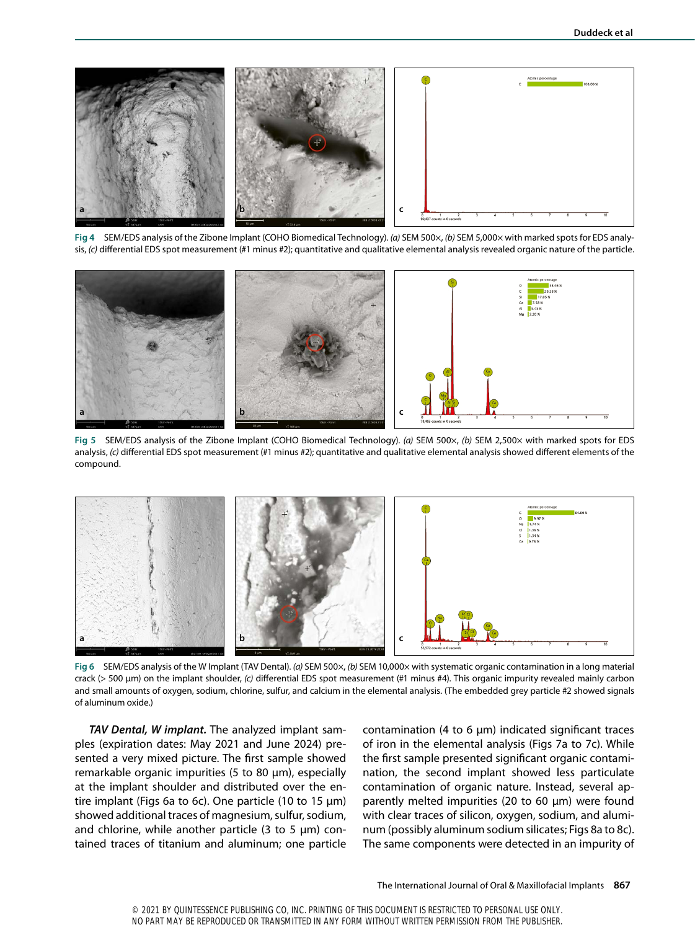

**Fig 4** SEM/EDS analysis of the Zibone Implant (COHO Biomedical Technology). *(a)* SEM 500×, *(b)* SEM 5,000× with marked spots for EDS analysis, *(c)* differential EDS spot measurement (#1 minus #2); quantitative and qualitative elemental analysis revealed organic nature of the particle.



**Fig 5** SEM/EDS analysis of the Zibone Implant (COHO Biomedical Technology). *(a)* SEM 500×, *(b)* SEM 2,500× with marked spots for EDS analysis, *(c)* differential EDS spot measurement (#1 minus #2); quantitative and qualitative elemental analysis showed different elements of the compound.



**Fig 6** SEM/EDS analysis of the W Implant (TAV Dental). *(a)* SEM 500×, *(b)* SEM 10,000× with systematic organic contamination in a long material crack (> 500 µm) on the implant shoulder, *(c)* differential EDS spot measurement (#1 minus #4). This organic impurity revealed mainly carbon and small amounts of oxygen, sodium, chlorine, sulfur, and calcium in the elemental analysis. (The embedded grey particle #2 showed signals of aluminum oxide.)

*TAV Dental, W implant.* The analyzed implant samples (expiration dates: May 2021 and June 2024) presented a very mixed picture. The first sample showed remarkable organic impurities (5 to 80 µm), especially at the implant shoulder and distributed over the entire implant (Figs 6a to 6c). One particle (10 to 15 µm) showed additional traces of magnesium, sulfur, sodium, and chlorine, while another particle  $(3 \text{ to } 5 \text{ µm})$  contained traces of titanium and aluminum; one particle

contamination (4 to 6  $\mu$ m) indicated significant traces of iron in the elemental analysis (Figs 7a to 7c). While the first sample presented significant organic contamination, the second implant showed less particulate contamination of organic nature. Instead, several apparently melted impurities (20 to 60 µm) were found with clear traces of silicon, oxygen, sodium, and aluminum (possibly aluminum sodium silicates; Figs 8a to 8c). The same components were detected in an impurity of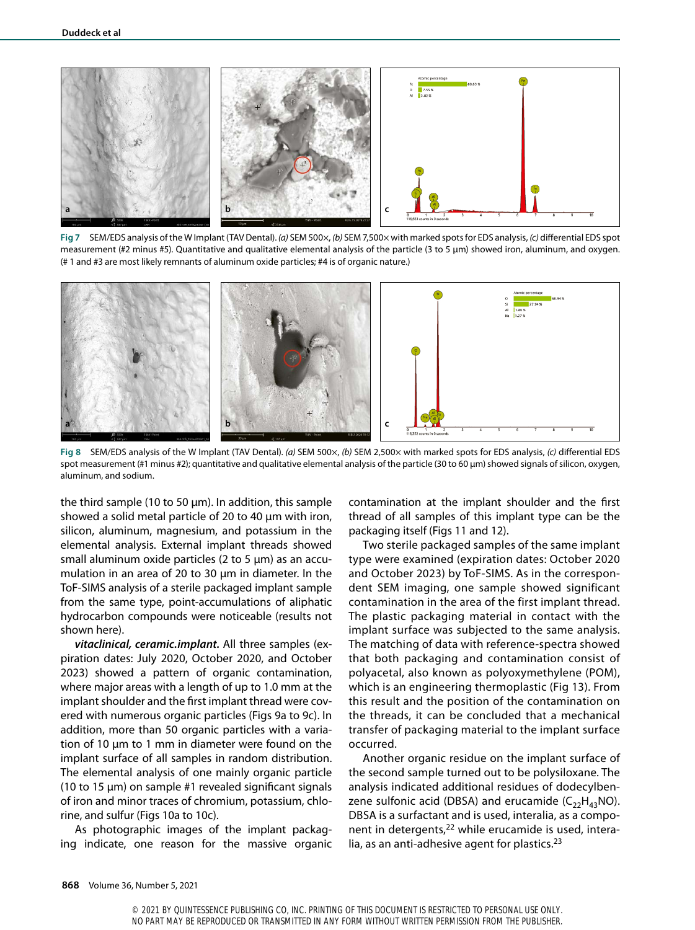

**Fig 7** SEM/EDS analysis of the W Implant (TAV Dental). *(a)* SEM 500×, *(b)* SEM 7,500× with marked spots for EDS analysis, *(c)* differential EDS spot measurement (#2 minus #5). Quantitative and qualitative elemental analysis of the particle (3 to 5 µm) showed iron, aluminum, and oxygen. (# 1 and #3 are most likely remnants of aluminum oxide particles; #4 is of organic nature.)



**Fig 8** SEM/EDS analysis of the W Implant (TAV Dental). *(a)* SEM 500×, *(b)* SEM 2,500× with marked spots for EDS analysis, *(c)* differential EDS spot measurement (#1 minus #2); quantitative and qualitative elemental analysis of the particle (30 to 60 µm) showed signals of silicon, oxygen, aluminum, and sodium.

the third sample (10 to 50  $\mu$ m). In addition, this sample showed a solid metal particle of 20 to 40 µm with iron, silicon, aluminum, magnesium, and potassium in the elemental analysis. External implant threads showed small aluminum oxide particles (2 to 5 µm) as an accumulation in an area of 20 to 30 µm in diameter. In the ToF-SIMS analysis of a sterile packaged implant sample from the same type, point-accumulations of aliphatic hydrocarbon compounds were noticeable (results not shown here).

*vitaclinical, ceramic.implant.* All three samples (expiration dates: July 2020, October 2020, and October 2023) showed a pattern of organic contamination, where major areas with a length of up to 1.0 mm at the implant shoulder and the first implant thread were covered with numerous organic particles (Figs 9a to 9c). In addition, more than 50 organic particles with a variation of 10 µm to 1 mm in diameter were found on the implant surface of all samples in random distribution. The elemental analysis of one mainly organic particle (10 to 15 µm) on sample #1 revealed significant signals of iron and minor traces of chromium, potassium, chlorine, and sulfur (Figs 10a to 10c).

As photographic images of the implant packaging indicate, one reason for the massive organic

contamination at the implant shoulder and the first thread of all samples of this implant type can be the packaging itself (Figs 11 and 12).

Two sterile packaged samples of the same implant type were examined (expiration dates: October 2020 and October 2023) by ToF-SIMS. As in the correspondent SEM imaging, one sample showed significant contamination in the area of the first implant thread. The plastic packaging material in contact with the implant surface was subjected to the same analysis. The matching of data with reference-spectra showed that both packaging and contamination consist of polyacetal, also known as polyoxymethylene (POM), which is an engineering thermoplastic (Fig 13). From this result and the position of the contamination on the threads, it can be concluded that a mechanical transfer of packaging material to the implant surface occurred.

Another organic residue on the implant surface of the second sample turned out to be polysiloxane. The analysis indicated additional residues of dodecylbenzene sulfonic acid (DBSA) and erucamide  $(C_{22}H_{43}NO)$ . DBSA is a surfactant and is used, interalia, as a component in detergents,<sup>22</sup> while erucamide is used, interalia, as an anti-adhesive agent for plastics. $23$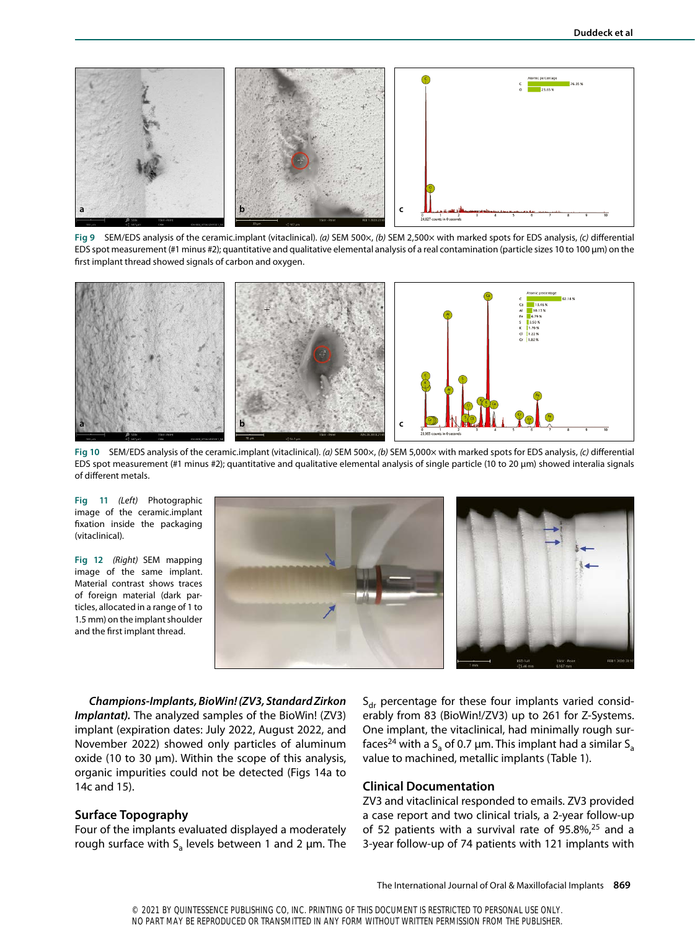

**Fig 9** SEM/EDS analysis of the ceramic.implant (vitaclinical). *(a)* SEM 500×, *(b)* SEM 2,500× with marked spots for EDS analysis, *(c)* differential EDS spot measurement (#1 minus #2); quantitative and qualitative elemental analysis of a real contamination (particle sizes 10 to 100 µm) on the first implant thread showed signals of carbon and oxygen.



**Fig 10** SEM/EDS analysis of the ceramic.implant (vitaclinical). *(a)* SEM 500×, *(b)* SEM 5,000× with marked spots for EDS analysis, *(c)* differential EDS spot measurement (#1 minus #2); quantitative and qualitative elemental analysis of single particle (10 to 20 µm) showed interalia signals of different metals.

**Fig 11** *(Left)* Photographic image of the ceramic.implant fixation inside the packaging (vitaclinical).

**Fig 12** *(Right)* SEM mapping image of the same implant. Material contrast shows traces of foreign material (dark particles, allocated in a range of 1 to 1.5 mm) on the implant shoulder and the first implant thread.



*Champions-Implants, BioWin! (ZV3, Standard Zirkon Implantat).* The analyzed samples of the BioWin! (ZV3) implant (expiration dates: July 2022, August 2022, and November 2022) showed only particles of aluminum oxide (10 to 30 µm). Within the scope of this analysis, organic impurities could not be detected (Figs 14a to 14c and 15).

#### **Surface Topography**

Four of the implants evaluated displayed a moderately rough surface with  $S_a$  levels between 1 and 2  $\mu$ m. The

 $S_{\text{dr}}$  percentage for these four implants varied considerably from 83 (BioWin!/ZV3) up to 261 for Z-Systems. One implant, the vitaclinical, had minimally rough surfaces<sup>24</sup> with a S<sub>a</sub> of 0.7 µm. This implant had a similar S<sub>a</sub> value to machined, metallic implants (Table 1).

#### **Clinical Documentation**

ZV3 and vitaclinical responded to emails. ZV3 provided a case report and two clinical trials, a 2-year follow-up of 52 patients with a survival rate of 95.8%, $25$  and a 3-year follow-up of 74 patients with 121 implants with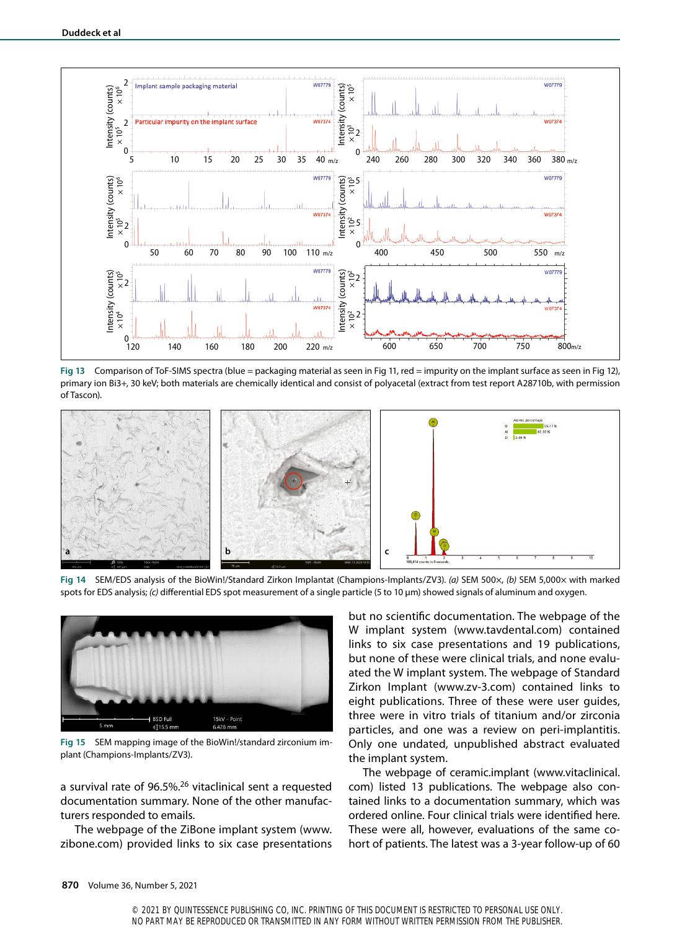

**Fig 13** Comparison of ToF-SIMS spectra (blue = packaging material as seen in Fig 11, red = impurity on the implant surface as seen in Fig 12), primary ion Bi3+, 30 keV; both materials are chemically identical and consist of polyacetal (extract from test report A28710b, with permission of Tascon).



**Fig 14** SEM/EDS analysis of the BioWin!/Standard Zirkon Implantat (Champions-Implants/ZV3). *(a)* SEM 500×, *(b)* SEM 5,000× with marked spots for EDS analysis; *(c)* differential EDS spot measurement of a single particle (5 to 10 µm) showed signals of aluminum and oxygen.



**Fig 15** SEM mapping image of the BioWin!/standard zirconium implant (Champions-Implants/ZV3).

a survival rate of 96.5%.26 vitaclinical sent a requested documentation summary. None of the other manufacturers responded to emails.

The webpage of the ZiBone implant system (www. zibone.com) provided links to six case presentations

but no scientific documentation. The webpage of the W implant system (www.tavdental.com) contained links to six case presentations and 19 publications, but none of these were clinical trials, and none evaluated the W implant system. The webpage of Standard Zirkon Implant (www.zv-3.com) contained links to eight publications. Three of these were user guides, three were in vitro trials of titanium and/or zirconia particles, and one was a review on peri-implantitis. Only one undated, unpublished abstract evaluated the implant system.

The webpage of ceramic.implant (www.vitaclinical. com) listed 13 publications. The webpage also contained links to a documentation summary, which was ordered online. Four clinical trials were identified here. These were all, however, evaluations of the same cohort of patients. The latest was a 3-year follow-up of 60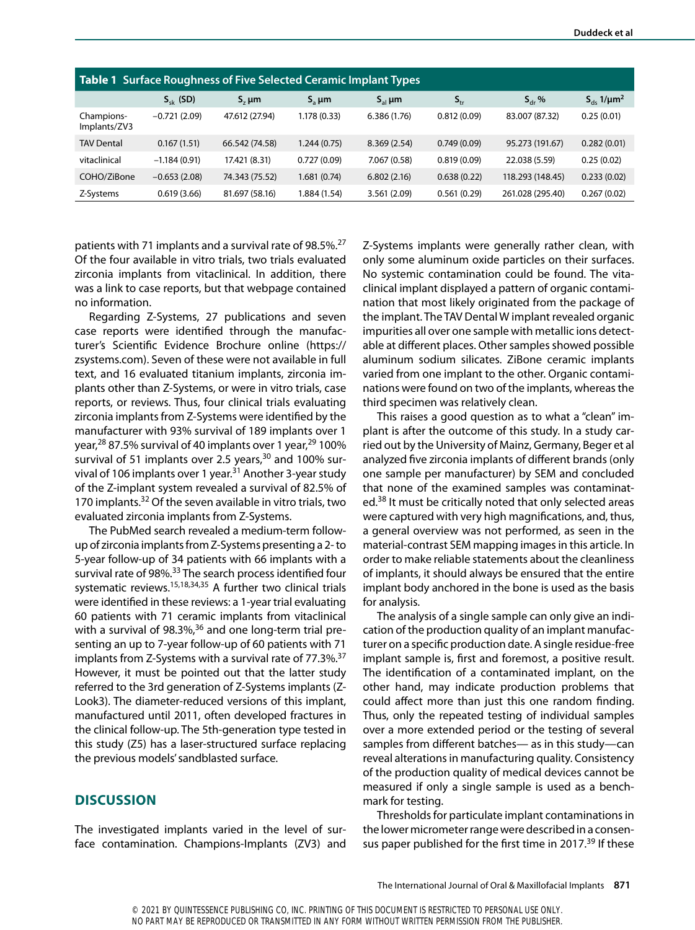| <b>Table 1 Surface Roughness of Five Selected Ceramic Implant Types</b> |                |                |                     |              |              |                   |                                  |
|-------------------------------------------------------------------------|----------------|----------------|---------------------|--------------|--------------|-------------------|----------------------------------|
|                                                                         | $S_{sk}$ (SD)  | $Sz \mu m$     | $S_{\rm a}$ $\mu$ m | $S_{al}$ µm  | $S_{\rm tr}$ | $S_{\text{dr}}$ % | $S_{ds}$ 1/ $\mu$ m <sup>2</sup> |
| Champions-<br>Implants/ZV3                                              | $-0.721(2.09)$ | 47.612 (27.94) | 1.178 (0.33)        | 6.386(1.76)  | 0.812(0.09)  | 83.007 (87.32)    | 0.25(0.01)                       |
| <b>TAV Dental</b>                                                       | 0.167(1.51)    | 66.542 (74.58) | 1.244(0.75)         | 8.369(2.54)  | 0.749(0.09)  | 95.273 (191.67)   | 0.282(0.01)                      |
| vitaclinical                                                            | $-1.184(0.91)$ | 17.421 (8.31)  | 0.727(0.09)         | 7.067 (0.58) | 0.819(0.09)  | 22.038 (5.59)     | 0.25(0.02)                       |
| COHO/ZiBone                                                             | $-0.653(2.08)$ | 74.343 (75.52) | 1.681(0.74)         | 6.802(2.16)  | 0.638(0.22)  | 118.293 (148.45)  | 0.233(0.02)                      |
| Z-Systems                                                               | 0.619(3.66)    | 81.697 (58.16) | 1.884 (1.54)        | 3.561(2.09)  | 0.561(0.29)  | 261.028 (295.40)  | 0.267(0.02)                      |

patients with 71 implants and a survival rate of 98.5%.<sup>27</sup> Of the four available in vitro trials, two trials evaluated zirconia implants from vitaclinical. In addition, there was a link to case reports, but that webpage contained no information.

Regarding Z-Systems, 27 publications and seven case reports were identified through the manufacturer's Scientific Evidence Brochure online (https:// zsystems.com). Seven of these were not available in full text, and 16 evaluated titanium implants, zirconia implants other than Z-Systems, or were in vitro trials, case reports, or reviews. Thus, four clinical trials evaluating zirconia implants from Z-Systems were identified by the manufacturer with 93% survival of 189 implants over 1 year,<sup>28</sup> 87.5% survival of 40 implants over 1 year,<sup>29</sup> 100% survival of 51 implants over 2.5 years, $30$  and 100% survival of 106 implants over 1 year.<sup>31</sup> Another 3-year study of the Z-implant system revealed a survival of 82.5% of 170 implants.32 Of the seven available in vitro trials, two evaluated zirconia implants from Z-Systems.

The PubMed search revealed a medium-term followup of zirconia implants from Z-Systems presenting a 2- to 5-year follow-up of 34 patients with 66 implants with a survival rate of 98%.<sup>33</sup> The search process identified four systematic reviews.15,18,34,35 A further two clinical trials were identified in these reviews: a 1-year trial evaluating 60 patients with 71 ceramic implants from vitaclinical with a survival of 98.3%, $36$  and one long-term trial presenting an up to 7-year follow-up of 60 patients with 71 implants from Z-Systems with a survival rate of 77.3%.<sup>37</sup> However, it must be pointed out that the latter study referred to the 3rd generation of Z-Systems implants (Z-Look3). The diameter-reduced versions of this implant, manufactured until 2011, often developed fractures in the clinical follow-up. The 5th-generation type tested in this study (Z5) has a laser-structured surface replacing the previous models' sandblasted surface.

# **DISCUSSION**

The investigated implants varied in the level of surface contamination. Champions-Implants (ZV3) and

Z-Systems implants were generally rather clean, with only some aluminum oxide particles on their surfaces. No systemic contamination could be found. The vitaclinical implant displayed a pattern of organic contamination that most likely originated from the package of the implant. The TAV Dental W implant revealed organic impurities all over one sample with metallic ions detectable at different places. Other samples showed possible aluminum sodium silicates. ZiBone ceramic implants varied from one implant to the other. Organic contaminations were found on two of the implants, whereas the third specimen was relatively clean.

This raises a good question as to what a "clean" implant is after the outcome of this study. In a study carried out by the University of Mainz, Germany, Beger et al analyzed five zirconia implants of different brands (only one sample per manufacturer) by SEM and concluded that none of the examined samples was contaminated.<sup>38</sup> It must be critically noted that only selected areas were captured with very high magnifications, and, thus, a general overview was not performed, as seen in the material-contrast SEM mapping images in this article. In order to make reliable statements about the cleanliness of implants, it should always be ensured that the entire implant body anchored in the bone is used as the basis for analysis.

The analysis of a single sample can only give an indication of the production quality of an implant manufacturer on a specific production date. A single residue-free implant sample is, first and foremost, a positive result. The identification of a contaminated implant, on the other hand, may indicate production problems that could affect more than just this one random finding. Thus, only the repeated testing of individual samples over a more extended period or the testing of several samples from different batches— as in this study—can reveal alterations in manufacturing quality. Consistency of the production quality of medical devices cannot be measured if only a single sample is used as a benchmark for testing.

Thresholds for particulate implant contaminations in the lower micrometer range were described in a consensus paper published for the first time in 2017.<sup>39</sup> If these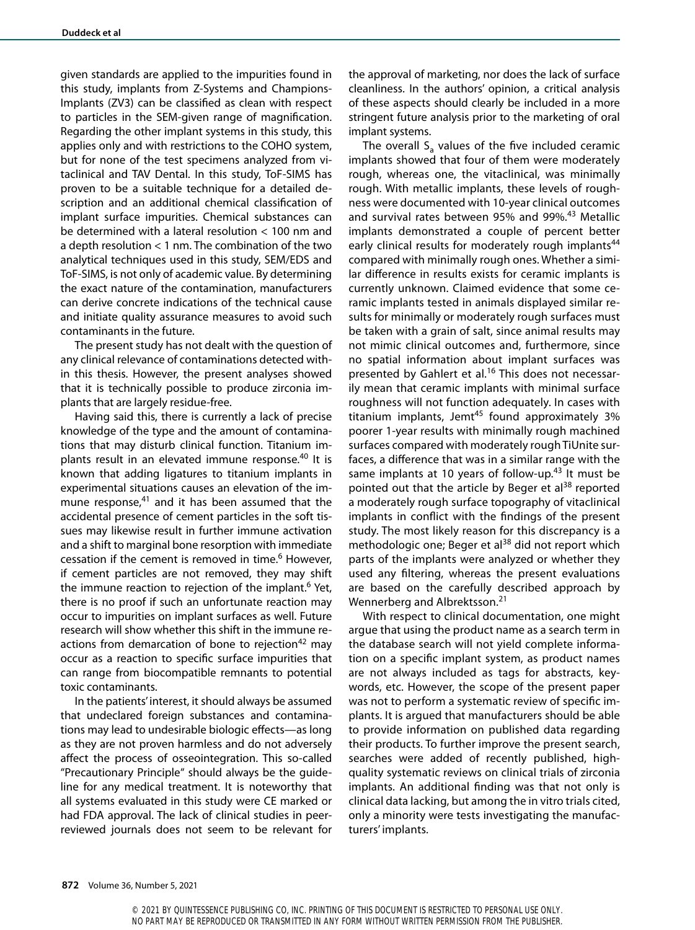given standards are applied to the impurities found in this study, implants from Z-Systems and Champions-Implants (ZV3) can be classified as clean with respect to particles in the SEM-given range of magnification. Regarding the other implant systems in this study, this applies only and with restrictions to the COHO system, but for none of the test specimens analyzed from vitaclinical and TAV Dental. In this study, ToF-SIMS has proven to be a suitable technique for a detailed description and an additional chemical classification of implant surface impurities. Chemical substances can be determined with a lateral resolution < 100 nm and a depth resolution < 1 nm. The combination of the two analytical techniques used in this study, SEM/EDS and ToF-SIMS, is not only of academic value. By determining the exact nature of the contamination, manufacturers can derive concrete indications of the technical cause and initiate quality assurance measures to avoid such contaminants in the future.

The present study has not dealt with the question of any clinical relevance of contaminations detected within this thesis. However, the present analyses showed that it is technically possible to produce zirconia implants that are largely residue-free.

Having said this, there is currently a lack of precise knowledge of the type and the amount of contaminations that may disturb clinical function. Titanium implants result in an elevated immune response.40 It is known that adding ligatures to titanium implants in experimental situations causes an elevation of the immune response, $41$  and it has been assumed that the accidental presence of cement particles in the soft tissues may likewise result in further immune activation and a shift to marginal bone resorption with immediate cessation if the cement is removed in time.<sup>6</sup> However, if cement particles are not removed, they may shift the immune reaction to rejection of the implant.<sup>6</sup> Yet, there is no proof if such an unfortunate reaction may occur to impurities on implant surfaces as well. Future research will show whether this shift in the immune reactions from demarcation of bone to rejection<sup>42</sup> may occur as a reaction to specific surface impurities that can range from biocompatible remnants to potential toxic contaminants.

In the patients' interest, it should always be assumed that undeclared foreign substances and contaminations may lead to undesirable biologic effects—as long as they are not proven harmless and do not adversely affect the process of osseointegration. This so-called "Precautionary Principle" should always be the guideline for any medical treatment. It is noteworthy that all systems evaluated in this study were CE marked or had FDA approval. The lack of clinical studies in peerreviewed journals does not seem to be relevant for the approval of marketing, nor does the lack of surface cleanliness. In the authors' opinion, a critical analysis of these aspects should clearly be included in a more stringent future analysis prior to the marketing of oral implant systems.

The overall  $S_a$  values of the five included ceramic implants showed that four of them were moderately rough, whereas one, the vitaclinical, was minimally rough. With metallic implants, these levels of roughness were documented with 10-year clinical outcomes and survival rates between 95% and 99%.<sup>43</sup> Metallic implants demonstrated a couple of percent better early clinical results for moderately rough implants<sup>44</sup> compared with minimally rough ones. Whether a similar difference in results exists for ceramic implants is currently unknown. Claimed evidence that some ceramic implants tested in animals displayed similar results for minimally or moderately rough surfaces must be taken with a grain of salt, since animal results may not mimic clinical outcomes and, furthermore, since no spatial information about implant surfaces was presented by Gahlert et al.<sup>16</sup> This does not necessarily mean that ceramic implants with minimal surface roughness will not function adequately. In cases with titanium implants, Jemt<sup>45</sup> found approximately  $3\%$ poorer 1-year results with minimally rough machined surfaces compared with moderately rough TiUnite surfaces, a difference that was in a similar range with the same implants at 10 years of follow-up.<sup>43</sup> It must be pointed out that the article by Beger et al<sup>38</sup> reported a moderately rough surface topography of vitaclinical implants in conflict with the findings of the present study. The most likely reason for this discrepancy is a methodologic one; Beger et al<sup>38</sup> did not report which parts of the implants were analyzed or whether they used any filtering, whereas the present evaluations are based on the carefully described approach by Wennerberg and Albrektsson.21

With respect to clinical documentation, one might argue that using the product name as a search term in the database search will not yield complete information on a specific implant system, as product names are not always included as tags for abstracts, keywords, etc. However, the scope of the present paper was not to perform a systematic review of specific implants. It is argued that manufacturers should be able to provide information on published data regarding their products. To further improve the present search, searches were added of recently published, highquality systematic reviews on clinical trials of zirconia implants. An additional finding was that not only is clinical data lacking, but among the in vitro trials cited, only a minority were tests investigating the manufacturers' implants.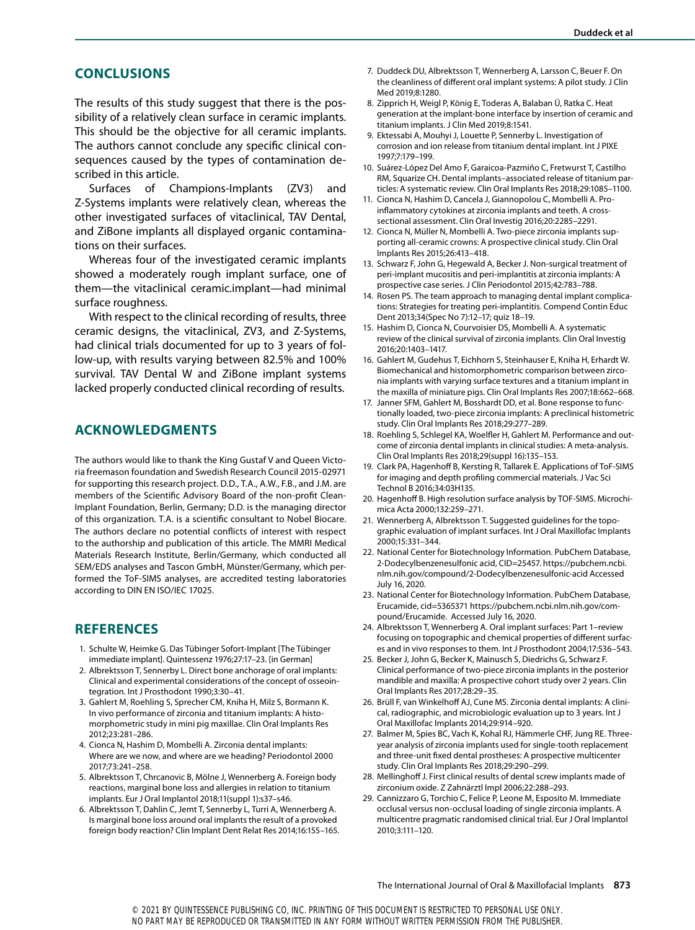## **CONCLUSIONS**

The results of this study suggest that there is the possibility of a relatively clean surface in ceramic implants. This should be the objective for all ceramic implants. The authors cannot conclude any specific clinical consequences caused by the types of contamination described in this article.

Surfaces of Champions-Implants (ZV3) and Z-Systems implants were relatively clean, whereas the other investigated surfaces of vitaclinical, TAV Dental, and ZiBone implants all displayed organic contaminations on their surfaces.

Whereas four of the investigated ceramic implants showed a moderately rough implant surface, one of them—the vitaclinical ceramic.implant—had minimal surface roughness.

With respect to the clinical recording of results, three ceramic designs, the vitaclinical, ZV3, and Z-Systems, had clinical trials documented for up to 3 years of follow-up, with results varying between 82.5% and 100% survival. TAV Dental W and ZiBone implant systems lacked properly conducted clinical recording of results.

# **ACKNOWLEDGMENTS**

The authors would like to thank the King Gustaf V and Queen Victoria freemason foundation and Swedish Research Council 2015-02971 for supporting this research project. D.D., T.A., A.W., F.B., and J.M. are members of the Scientific Advisory Board of the non-profit Clean-Implant Foundation, Berlin, Germany; D.D. is the managing director of this organization. T.A. is a scientific consultant to Nobel Biocare. The authors declare no potential conflicts of interest with respect to the authorship and publication of this article. The MMRI Medical Materials Research Institute, Berlin/Germany, which conducted all SEM/EDS analyses and Tascon GmbH, Münster/Germany, which performed the ToF-SIMS analyses, are accredited testing laboratories according to DIN EN ISO/IEC 17025.

#### **REFERENCES**

- 1. Schulte W, Heimke G. Das Tübinger Sofort-Implant [The Tübinger immediate implant]. Quintessenz 1976;27:17–23. [in German]
- 2. Albrektsson T, Sennerby L. Direct bone anchorage of oral implants: Clinical and experimental considerations of the concept of osseointegration. Int J Prosthodont 1990;3:30–41.
- 3. Gahlert M, Roehling S, Sprecher CM, Kniha H, Milz S, Bormann K. In vivo performance of zirconia and titanium implants: A histomorphometric study in mini pig maxillae. Clin Oral Implants Res 2012;23:281–286.
- 4. Cionca N, Hashim D, Mombelli A. Zirconia dental implants: Where are we now, and where are we heading? Periodontol 2000 2017;73:241–258.
- 5. Albrektsson T, Chrcanovic B, Mölne J, Wennerberg A. Foreign body reactions, marginal bone loss and allergies in relation to titanium implants. Eur J Oral Implantol 2018;11(suppl 1):s37–s46.
- 6. Albrektsson T, Dahlin C, Jemt T, Sennerby L, Turri A, Wennerberg A. Is marginal bone loss around oral implants the result of a provoked foreign body reaction? Clin Implant Dent Relat Res 2014;16:155–165.
- 7. Duddeck DU, Albrektsson T, Wennerberg A, Larsson C, Beuer F. On the cleanliness of different oral implant systems: A pilot study. J Clin Med 2019;8:1280.
- 8. Zipprich H, Weigl P, König E, Toderas A, Balaban Ü, Ratka C. Heat generation at the implant-bone interface by insertion of ceramic and titanium implants. J Clin Med 2019;8:1541.
- 9. Ektessabi A, Mouhyi J, Louette P, Sennerby L. Investigation of corrosion and ion release from titanium dental implant. Int J PIXE 1997;7:179–199.
- 10. Suárez-López Del Amo F, Garaicoa-Pazmiño C, Fretwurst T, Castilho RM, Squarize CH. Dental implants–associated release of titanium particles: A systematic review. Clin Oral Implants Res 2018;29:1085–1100.
- 11. Cionca N, Hashim D, Cancela J, Giannopolou C, Mombelli A. Proinflammatory cytokines at zirconia implants and teeth. A crosssectional assessment. Clin Oral Investig 2016;20:2285–2291.
- 12. Cionca N, Müller N, Mombelli A. Two-piece zirconia implants supporting all-ceramic crowns: A prospective clinical study. Clin Oral Implants Res 2015;26:413–418.
- 13. Schwarz F, John G, Hegewald A, Becker J. Non-surgical treatment of peri-implant mucositis and peri-implantitis at zirconia implants: A prospective case series. J Clin Periodontol 2015;42:783–788.
- 14. Rosen PS. The team approach to managing dental implant complications: Strategies for treating peri-implantitis. Compend Contin Educ Dent 2013;34(Spec No 7):12–17; quiz 18–19.
- 15. Hashim D, Cionca N, Courvoisier DS, Mombelli A. A systematic review of the clinical survival of zirconia implants. Clin Oral Investig 2016;20:1403–1417.
- 16. Gahlert M, Gudehus T, Eichhorn S, Steinhauser E, Kniha H, Erhardt W. Biomechanical and histomorphometric comparison between zirconia implants with varying surface textures and a titanium implant in the maxilla of miniature pigs. Clin Oral Implants Res 2007;18:662–668.
- 17. Janner SFM, Gahlert M, Bosshardt DD, et al. Bone response to functionally loaded, two-piece zirconia implants: A preclinical histometric study. Clin Oral Implants Res 2018;29:277–289.
- 18. Roehling S, Schlegel KA, Woelfler H, Gahlert M. Performance and outcome of zirconia dental implants in clinical studies: A meta-analysis. Clin Oral Implants Res 2018;29(suppl 16):135–153.
- 19. Clark PA, Hagenhoff B, Kersting R, Tallarek E. Applications of ToF-SIMS for imaging and depth profiling commercial materials. J Vac Sci Technol B 2016;34:03H135.
- 20. Hagenhoff B. High resolution surface analysis by TOF-SIMS. Microchimica Acta 2000;132:259–271.
- 21. Wennerberg A, Albrektsson T. Suggested guidelines for the topographic evaluation of implant surfaces. Int J Oral Maxillofac Implants 2000;15:331–344.
- 22. National Center for Biotechnology Information. PubChem Database, 2-Dodecylbenzenesulfonic acid, CID=25457. https://pubchem.ncbi. nlm.nih.gov/compound/2-Dodecylbenzenesulfonic-acid Accessed July 16, 2020.
- 23. National Center for Biotechnology Information. PubChem Database, Erucamide, cid=5365371 https://pubchem.ncbi.nlm.nih.gov/compound/Erucamide. Accessed July 16, 2020.
- 24. Albrektsson T, Wennerberg A. Oral implant surfaces: Part 1–review focusing on topographic and chemical properties of different surfaces and in vivo responses to them. Int J Prosthodont 2004;17:536–543.
- 25. Becker J, John G, Becker K, Mainusch S, Diedrichs G, Schwarz F. Clinical performance of two-piece zirconia implants in the posterior mandible and maxilla: A prospective cohort study over 2 years. Clin Oral Implants Res 2017;28:29–35.
- 26. Brüll F, van Winkelhoff AJ, Cune MS. Zirconia dental implants: A clinical, radiographic, and microbiologic evaluation up to 3 years. Int J Oral Maxillofac Implants 2014;29:914–920.
- 27. Balmer M, Spies BC, Vach K, Kohal RJ, Hämmerle CHF, Jung RE. Threeyear analysis of zirconia implants used for single-tooth replacement and three-unit fixed dental prostheses: A prospective multicenter study. Clin Oral Implants Res 2018;29:290–299.
- 28. Mellinghoff J. First clinical results of dental screw implants made of zirconium oxide. Z Zahnärztl Impl 2006;22:288–293.
- 29. Cannizzaro G, Torchio C, Felice P, Leone M, Esposito M. Immediate occlusal versus non-occlusal loading of single zirconia implants. A multicentre pragmatic randomised clinical trial. Eur J Oral Implantol 2010;3:111–120.